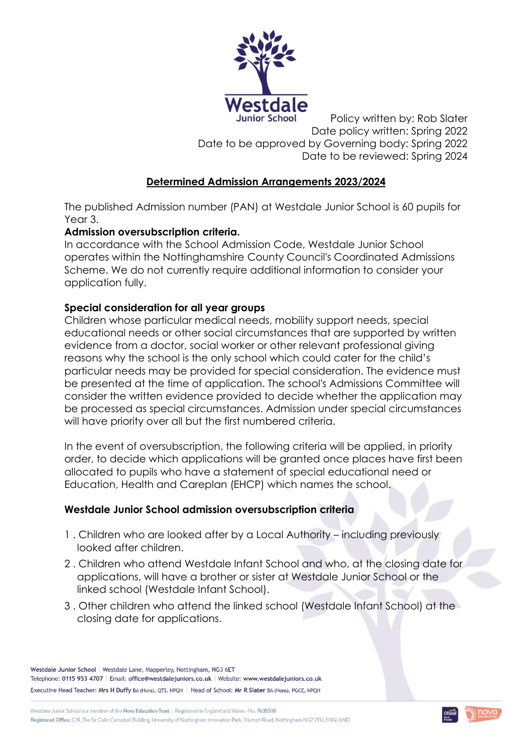

Policy written by: Rob Slater Date policy written: Spring 2022 Date to be approved by Governing body: Spring 2022 Date to be reviewed: Spring 2024

# **Determined Admission Arrangements 2023/2024**

The published Admission number (PAN) at Westdale Junior School is 60 pupils for Year 3.

## **Admission oversubscription criteria.**

In accordance with the School Admission Code, Westdale Junior School operates within the Nottinghamshire County Council's Coordinated Admissions Scheme. We do not currently require additional information to consider your application fully.

## **Special consideration for all year groups**

Children whose particular medical needs, mobility support needs, special educational needs or other social circumstances that are supported by written evidence from a doctor, social worker or other relevant professional giving reasons why the school is the only school which could cater for the child's particular needs may be provided for special consideration. The evidence must be presented at the time of application. The school's Admissions Committee will consider the written evidence provided to decide whether the application may be processed as special circumstances. Admission under special circumstances will have priority over all but the first numbered criteria.

In the event of oversubscription, the following criteria will be applied, in priority order, to decide which applications will be granted once places have first been allocated to pupils who have a statement of special educational need or Education, Health and Careplan (EHCP) which names the school.

### **Westdale Junior School admission oversubscription criteria**

- 1 . Children who are looked after by a Local Authority including previously looked after children.
- 2 . Children who attend Westdale Infant School and who, at the closing date for applications, will have a brother or sister at Westdale Junior School or the linked school (Westdale Infant School).
- 3 . Other children who attend the linked school (Westdale Infant School) at the closing date for applications.

Westdale Junior School | Westdale Lane, Mapperley, Nottingham, NG3 6ET Telephone: 0115 953 4707 | Email: office@westdalejuniors.co.uk | Website: www.westdalejuniors.co.uk Executive Head Teacher: Mrs H Duffy BA (Hons), QTS, NPQH | Head of School: Mr R Slater BA (Hons), PGCE, NPQH

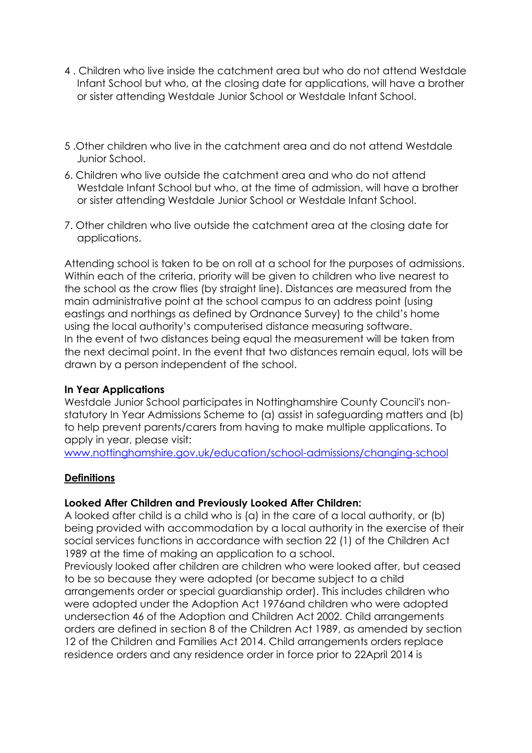- 4 . Children who live inside the catchment area but who do not attend Westdale Infant School but who, at the closing date for applications, will have a brother or sister attending Westdale Junior School or Westdale Infant School.
- 5 .Other children who live in the catchment area and do not attend Westdale Junior School.
- 6. Children who live outside the catchment area and who do not attend Westdale Infant School but who, at the time of admission, will have a brother or sister attending Westdale Junior School or Westdale Infant School.
- 7. Other children who live outside the catchment area at the closing date for applications.

Attending school is taken to be on roll at a school for the purposes of admissions. Within each of the criteria, priority will be given to children who live nearest to the school as the crow flies (by straight line). Distances are measured from the main administrative point at the school campus to an address point (using eastings and northings as defined by Ordnance Survey) to the child's home using the local authority's computerised distance measuring software. In the event of two distances being equal the measurement will be taken from the next decimal point. In the event that two distances remain equal, lots will be drawn by a person independent of the school.

### **In Year Applications**

Westdale Junior School participates in Nottinghamshire County Council's nonstatutory In Year Admissions Scheme to (a) assist in safeguarding matters and (b) to help prevent parents/carers from having to make multiple applications. To apply in year, please visit:

[www.nottinghamshire.gov.uk/education/school-admissions/changing-school](http://www.nottinghamshire.gov.uk/education/school-admissions/changing-school)

### **Definitions**

### **Looked After Children and Previously Looked After Children:**

A looked after child is a child who is (a) in the care of a local authority, or (b) being provided with accommodation by a local authority in the exercise of their social services functions in accordance with section 22 (1) of the Children Act 1989 at the time of making an application to a school.

Previously looked after children are children who were looked after, but ceased to be so because they were adopted (or became subject to a child arrangements order or special guardianship order). This includes children who were adopted under the Adoption Act 1976and children who were adopted undersection 46 of the Adoption and Children Act 2002. Child arrangements orders are defined in section 8 of the Children Act 1989, as amended by section 12 of the Children and Families Act 2014. Child arrangements orders replace residence orders and any residence order in force prior to 22April 2014 is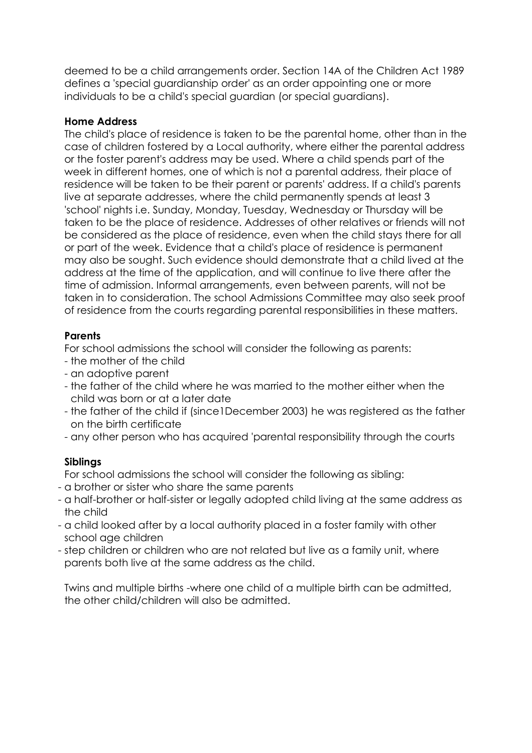deemed to be a child arrangements order. Section 14A of the Children Act 1989 defines a 'special guardianship order' as an order appointing one or more individuals to be a child's special guardian (or special guardians).

## **Home Address**

The child's place of residence is taken to be the parental home, other than in the case of children fostered by a Local authority, where either the parental address or the foster parent's address may be used. Where a child spends part of the week in different homes, one of which is not a parental address, their place of residence will be taken to be their parent or parents' address. If a child's parents live at separate addresses, where the child permanently spends at least 3 'school' nights i.e. Sunday, Monday, Tuesday, Wednesday or Thursday will be taken to be the place of residence. Addresses of other relatives or friends will not be considered as the place of residence, even when the child stays there for all or part of the week. Evidence that a child's place of residence is permanent may also be sought. Such evidence should demonstrate that a child lived at the address at the time of the application, and will continue to live there after the time of admission. Informal arrangements, even between parents, will not be taken in to consideration. The school Admissions Committee may also seek proof of residence from the courts regarding parental responsibilities in these matters.

## **Parents**

For school admissions the school will consider the following as parents:

- the mother of the child
- an adoptive parent
- the father of the child where he was married to the mother either when the child was born or at a later date
- the father of the child if (since1December 2003) he was registered as the father on the birth certificate
- any other person who has acquired 'parental responsibility through the courts

# **Siblings**

For school admissions the school will consider the following as sibling:

- a brother or sister who share the same parents
- a half-brother or half-sister or legally adopted child living at the same address as the child
- a child looked after by a local authority placed in a foster family with other school age children
- step children or children who are not related but live as a family unit, where parents both live at the same address as the child.

Twins and multiple births -where one child of a multiple birth can be admitted, the other child/children will also be admitted.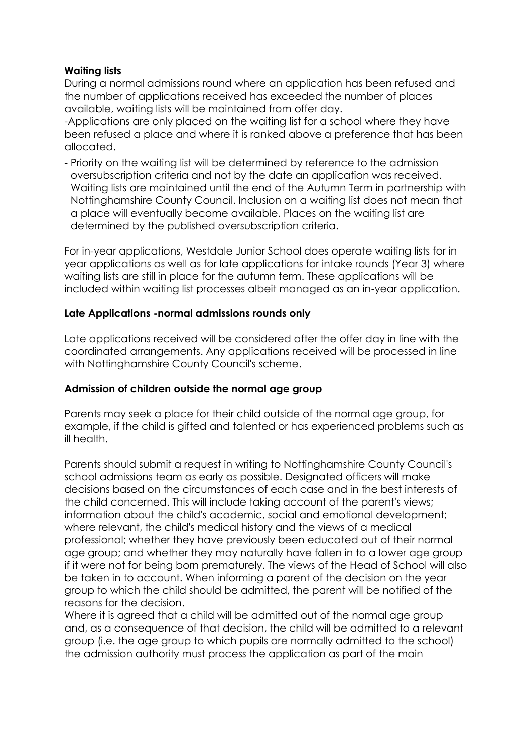## **Waiting lists**

During a normal admissions round where an application has been refused and the number of applications received has exceeded the number of places available, waiting lists will be maintained from offer day.

-Applications are only placed on the waiting list for a school where they have been refused a place and where it is ranked above a preference that has been allocated.

- Priority on the waiting list will be determined by reference to the admission oversubscription criteria and not by the date an application was received. Waiting lists are maintained until the end of the Autumn Term in partnership with Nottinghamshire County Council. Inclusion on a waiting list does not mean that a place will eventually become available. Places on the waiting list are determined by the published oversubscription criteria.

For in-year applications, Westdale Junior School does operate waiting lists for in year applications as well as for late applications for intake rounds (Year 3) where waiting lists are still in place for the autumn term. These applications will be included within waiting list processes albeit managed as an in-year application.

### **Late Applications -normal admissions rounds only**

Late applications received will be considered after the offer day in line with the coordinated arrangements. Any applications received will be processed in line with Nottinghamshire County Council's scheme.

### **Admission of children outside the normal age group**

Parents may seek a place for their child outside of the normal age group, for example, if the child is gifted and talented or has experienced problems such as ill health.

Parents should submit a request in writing to Nottinghamshire County Council's school admissions team as early as possible. Designated officers will make decisions based on the circumstances of each case and in the best interests of the child concerned. This will include taking account of the parent's views; information about the child's academic, social and emotional development; where relevant, the child's medical history and the views of a medical professional; whether they have previously been educated out of their normal age group; and whether they may naturally have fallen in to a lower age group if it were not for being born prematurely. The views of the Head of School will also be taken in to account. When informing a parent of the decision on the year group to which the child should be admitted, the parent will be notified of the reasons for the decision.

Where it is agreed that a child will be admitted out of the normal age group and, as a consequence of that decision, the child will be admitted to a relevant group (i.e. the age group to which pupils are normally admitted to the school) the admission authority must process the application as part of the main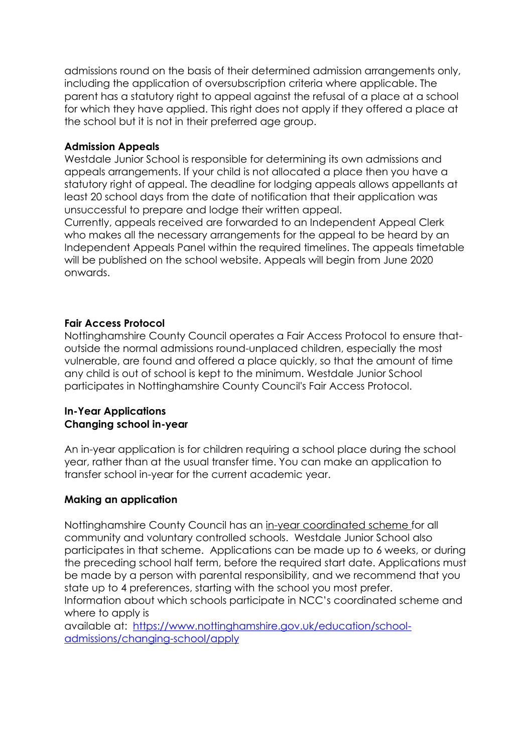admissions round on the basis of their determined admission arrangements only, including the application of oversubscription criteria where applicable. The parent has a statutory right to appeal against the refusal of a place at a school for which they have applied. This right does not apply if they offered a place at the school but it is not in their preferred age group.

#### **Admission Appeals**

Westdale Junior School is responsible for determining its own admissions and appeals arrangements. If your child is not allocated a place then you have a statutory right of appeal. The deadline for lodging appeals allows appellants at least 20 school days from the date of notification that their application was unsuccessful to prepare and lodge their written appeal.

Currently, appeals received are forwarded to an Independent Appeal Clerk who makes all the necessary arrangements for the appeal to be heard by an Independent Appeals Panel within the required timelines. The appeals timetable will be published on the school website. Appeals will begin from June 2020 onwards.

### **Fair Access Protocol**

Nottinghamshire County Council operates a Fair Access Protocol to ensure thatoutside the normal admissions round-unplaced children, especially the most vulnerable, are found and offered a place quickly, so that the amount of time any child is out of school is kept to the minimum. Westdale Junior School participates in Nottinghamshire County Council's Fair Access Protocol.

#### **In-Year Applications Changing school in-year**

An in-year application is for children requiring a school place during the school year, rather than at the usual transfer time. You can make an application to transfer school in-year for the current academic year.

### **Making an application**

Nottinghamshire County Council has an [in-year coordinated scheme f](https://www.nottinghamshire.gov.uk/media/3769247/determinedarrangements2021-2022.pdf)or all community and voluntary controlled schools. Westdale Junior School also participates in that scheme. Applications can be made up to 6 weeks, or during the preceding school half term, before the required start date. Applications must be made by a person with parental responsibility, and we recommend that you state up to 4 preferences, starting with the school you most prefer.

Information about which schools participate in NCC's coordinated scheme and where to apply is

available at: [https://www.nottinghamshire.gov.uk/education/school](https://www.nottinghamshire.gov.uk/education/school-admissions/changing-school/apply)[admissions/changing-school/apply](https://www.nottinghamshire.gov.uk/education/school-admissions/changing-school/apply)